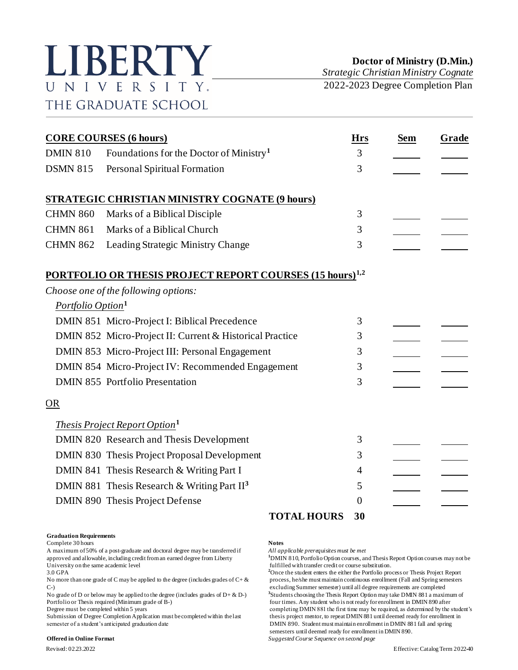

*Strategic Christian Ministry Cognate* 2022-2023 Degree Completion Plan

|                               | <b>CORE COURSES (6 hours)</b>                                              | <b>Hrs</b> | Sem | Grade |
|-------------------------------|----------------------------------------------------------------------------|------------|-----|-------|
| <b>DMIN 810</b>               | Foundations for the Doctor of Ministry <sup>1</sup>                        | 3          |     |       |
| <b>DSMN 815</b>               | Personal Spiritual Formation                                               | 3          |     |       |
|                               | <b>STRATEGIC CHRISTIAN MINISTRY COGNATE (9 hours)</b>                      |            |     |       |
| <b>CHMN 860</b>               | Marks of a Biblical Disciple                                               | 3          |     |       |
| <b>CHMN 861</b>               | Marks of a Biblical Church                                                 | 3          |     |       |
| <b>CHMN 862</b>               | <b>Leading Strategic Ministry Change</b>                                   | 3          |     |       |
|                               | <b>PORTFOLIO OR THESIS PROJECT REPORT COURSES (15 hours)<sup>1,2</sup></b> |            |     |       |
|                               | Choose one of the following options:                                       |            |     |       |
| Portfolio Option <sup>1</sup> |                                                                            |            |     |       |
|                               | DMIN 851 Micro-Project I: Biblical Precedence                              | 3          |     |       |
|                               | DMIN 852 Micro-Project II: Current & Historical Practice                   | 3          |     |       |
|                               | DMIN 853 Micro-Project III: Personal Engagement                            | 3          |     |       |
|                               | DMIN 854 Micro-Project IV: Recommended Engagement                          | 3          |     |       |
|                               | <b>DMIN 855</b> Portfolio Presentation                                     | 3          |     |       |
| OR                            |                                                                            |            |     |       |
|                               | <i>Thesis Project Report Option</i> <sup>1</sup>                           |            |     |       |
|                               | DMIN 820 Research and Thesis Development                                   | 3          |     |       |
|                               | DMIN 830 Thesis Project Proposal Development                               | 3          |     |       |
|                               | DMIN 841 Thesis Research & Writing Part I                                  | 4          |     |       |
|                               | DMIN 881 Thesis Research & Writing Part $II3$                              | 5          |     |       |
|                               | DMIN 890 Thesis Project Defense                                            | $\Omega$   |     |       |
|                               | <b>TOTAL HOURS</b>                                                         | 30         |     |       |

## **Graduation Requirements**

Complete 30 hours **Notes**

A maximum of 50% of a post-graduate and doctoral degree may be transferred if *All applicable prerequisites must be met* University on the same academic level<br>
3.0 GPA<br>
<sup>2</sup>Once the student enters the either the Portfolio pro-

No more than one grade of C may be applied to the degree (includes grades of  $C + \&$  process, he/she must maintain continuous enrollment (Fall and Spring semesters

No grade of D or below may be applied to the degree (includes grades of  $D + \& D$ -)

semester of a student's anticipated graduation date DMIN 890. Student must maintain enrollment in DMIN 881 fall and spring

### **Offered in Online Format** *Suggested Course Sequence on second page*

<sup>1</sup>DMIN 810, Portfolio Option courses, and Thesis Report Option courses may not be

<sup>2</sup>Once the student enters the either the Portfolio process or Thesis Project Report C-) excluding Summer semester) until all degree requirements are completed **3** Students choosing the Thesis Report Option may take DMIN 881 a maximum of Portfolio or Thesis required (Minimum grade of B-) four times. Any student who is not ready for enrollment in DMIN 890 after<br>Degree must be completed within 5 years for enrollment in DMIN 881 the first time may be required completing DMIN 881 the first time may be required, as determined by the student's Submission of Degree Completion Application must be completed within the last thesis project mentor, to repeat DMIN 881 until deemed ready for enrollment in semesters until deemed ready for enrollment in DMIN 890.

Revised: 02.23.2022 Effective: Catalog Term 2022-40